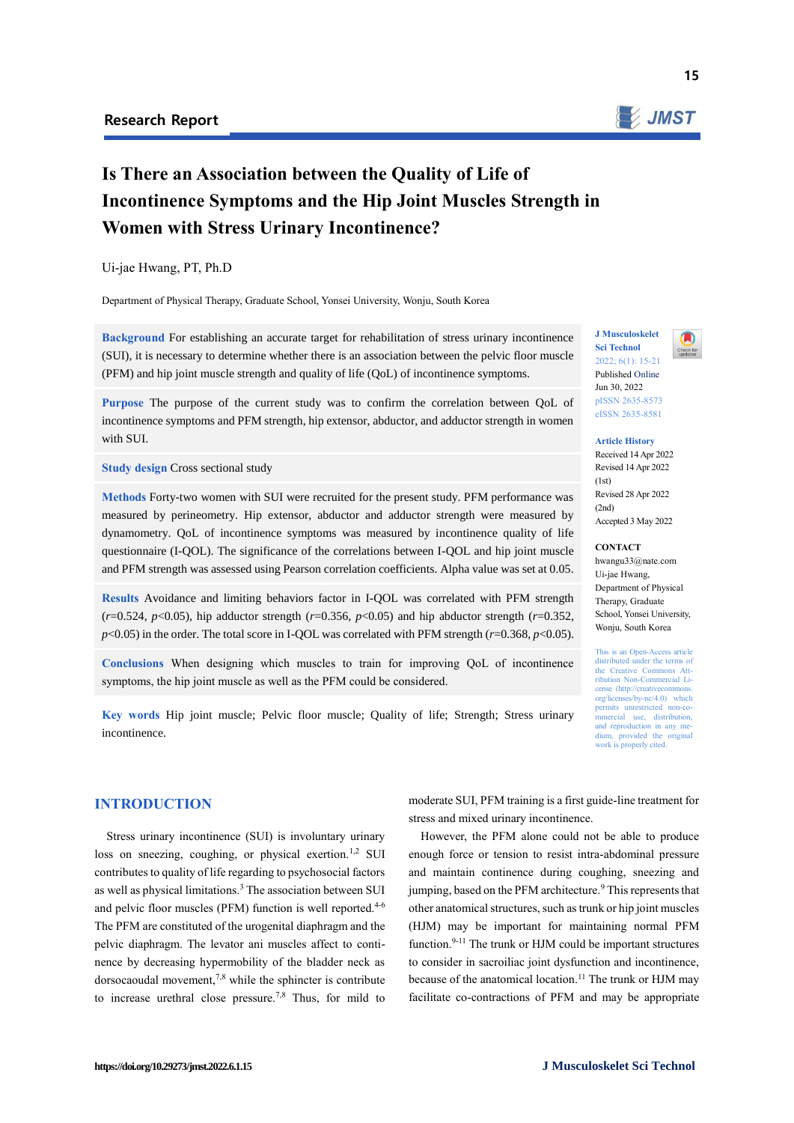

15

# **Is There an Association between the Quality of Life of Incontinence Symptoms and the Hip Joint Muscles Strength in Women with Stress Urinary Incontinence?**

#### Ui-jae Hwang, PT, Ph.D

Department of Physical Therapy, Graduate School, Yonsei University, Wonju, South Korea

**Background** For establishing an accurate target for rehabilitation of stress urinary incontinence (SUI), it is necessary to determine whether there is an association between the pelvic floor muscle (PFM) and hip joint muscle strength and quality of life (QoL) of incontinence symptoms.

**Purpose** The purpose of the current study was to confirm the correlation between QoL of incontinence symptoms and PFM strength, hip extensor, abductor, and adductor strength in women with SUI.

#### **Study design Cross sectional study**

**Methods** Forty-two women with SUI were recruited for the present study. PFM performance was measured by perineometry. Hip extensor, abductor and adductor strength were measured by dynamometry. QoL of incontinence symptoms was measured by incontinence quality of life questionnaire (I-QOL). The significance of the correlations between I-QOL and hip joint muscle and PFM strength was assessed using Pearson correlation coefficients. Alpha value was set at 0.05.

**Results** Avoidance and limiting behaviors factor in I-QOL was correlated with PFM strength  $(r=0.524, p<0.05)$ , hip adductor strength  $(r=0.356, p<0.05)$  and hip abductor strength  $(r=0.352, p<0.05)$  $p$ <0.05) in the order. The total score in I-QOL was correlated with PFM strength ( $r$ =0.368,  $p$ <0.05).

**Conclusions** When designing which muscles to train for improving QoL of incontinence symptoms, the hip joint muscle as well as the PFM could be considered.

**Key words** Hip joint muscle; Pelvic floor muscle; Quality of life; Strength; Stress urinary incontinence.

## **INTRODUCTION**

Stress urinary incontinence (SUI) is involuntary urinary loss on sneezing, coughing, or physical exertion.1,2 SUI contributes to quality of life regarding to psychosocial factors as well as physical limitations.<sup>3</sup> The association between SUI and pelvic floor muscles (PFM) function is well reported.<sup>4-6</sup> The PFM are constituted of the urogenital diaphragm and the pelvic diaphragm. The levator ani muscles affect to continence by decreasing hypermobility of the bladder neck as dorsocaoudal movement, $7,8$  while the sphincter is contribute to increase urethral close pressure.7,8 Thus, for mild to

**J Musculoskelet Sci Technol** 2022; 6(1): 15-21 Published Online Jun 30, 2022 pISSN 2635-8573

# eISSN 2635-8581

#### **Article History** Received 14 Apr 2022 Revised 14 Apr 2022  $(1st)$ Revised 28 Apr 2022  $(2nd)$ Accepted 3 May 2022

## **CONTACT**

hwangu33@nate.com Ui-jae Hwang, Department of Physical Therapy, Graduate School, Yonsei University, Wonju, South Korea

This is an Open-Access article distributed under the terms of the Creative Commons Attribution Non-Commercial License (http://creativecommon org/licenses/by-nc/4.0) which  $prem$  unrestricted mmercial use, distribution, and reproduction in any medium, provided the original work is properly cited.

moderate SUI, PFM training is a first guide-line treatment for stress and mixed urinary incontinence.

However, the PFM alone could not be able to produce enough force or tension to resist intra-abdominal pressure and maintain continence during coughing, sneezing and jumping, based on the PFM architecture.<sup>9</sup> This represents that other anatomical structures, such as trunk or hip joint muscles (HJM) may be important for maintaining normal PFM function.9-11 The trunk or HJM could be important structures to consider in sacroiliac joint dysfunction and incontinence, because of the anatomical location.<sup>11</sup> The trunk or HJM may facilitate co-contractions of PFM and may be appropriate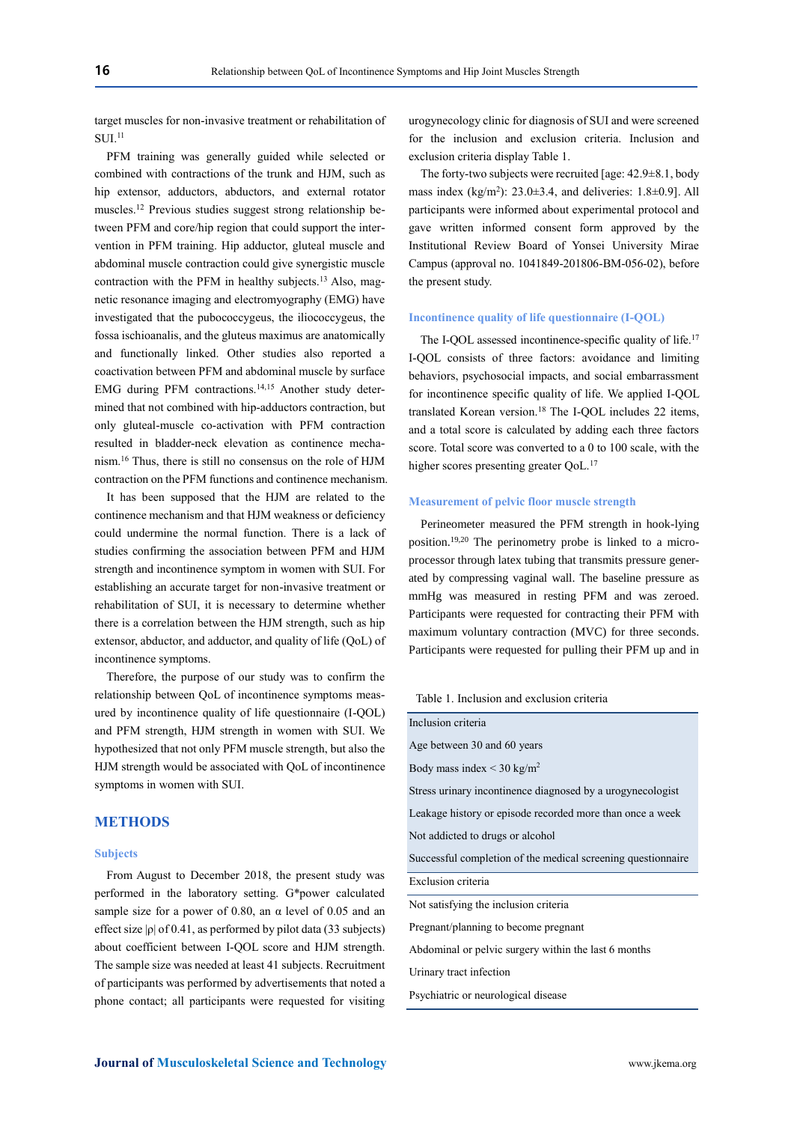target muscles for non-invasive treatment or rehabilitation of  $SUI<sub>11</sub>$ 

PFM training was generally guided while selected or combined with contractions of the trunk and HJM, such as hip extensor, adductors, abductors, and external rotator muscles.<sup>12</sup> Previous studies suggest strong relationship between PFM and core/hip region that could support the intervention in PFM training. Hip adductor, gluteal muscle and abdominal muscle contraction could give synergistic muscle contraction with the PFM in healthy subjects.<sup>13</sup> Also, magnetic resonance imaging and electromyography (EMG) have investigated that the pubococcygeus, the iliococcygeus, the fossa ischioanalis, and the gluteus maximus are anatomically and functionally linked. Other studies also reported a coactivation between PFM and abdominal muscle by surface EMG during PFM contractions.<sup>14,15</sup> Another study determined that not combined with hip-adductors contraction, but only gluteal-muscle co-activation with PFM contraction resulted in bladder-neck elevation as continence mechanism.<sup>16</sup> Thus, there is still no consensus on the role of HJM contraction on the PFM functions and continence mechanism.

It has been supposed that the HJM are related to the continence mechanism and that HJM weakness or deficiency could undermine the normal function. There is a lack of studies confirming the association between PFM and HJM strength and incontinence symptom in women with SUI. For establishing an accurate target for non-invasive treatment or rehabilitation of SUI, it is necessary to determine whether there is a correlation between the HJM strength, such as hip extensor, abductor, and adductor, and quality of life (QoL) of incontinence symptoms.

Therefore, the purpose of our study was to confirm the relationship between QoL of incontinence symptoms measured by incontinence quality of life questionnaire (I-QOL) and PFM strength, HJM strength in women with SUI. We hypothesized that not only PFM muscle strength, but also the HJM strength would be associated with QoL of incontinence symptoms in women with SUI.

# **METHODS**

#### **Subjects**

From August to December 2018, the present study was performed in the laboratory setting. G\*power calculated sample size for a power of 0.80, an  $\alpha$  level of 0.05 and an effect size  $|\rho|$  of 0.41, as performed by pilot data (33 subjects) about coefficient between I-QOL score and HJM strength. The sample size was needed at least 41 subjects. Recruitment of participants was performed by advertisements that noted a phone contact; all participants were requested for visiting

urogynecology clinic for diagnosis of SUI and were screened for the inclusion and exclusion criteria. Inclusion and exclusion criteria display Table 1.

The forty-two subjects were recruited [age: 42.9±8.1, body mass index  $(kg/m^2)$ : 23.0 $\pm$ 3.4, and deliveries: 1.8 $\pm$ 0.9]. All participants were informed about experimental protocol and gave written informed consent form approved by the Institutional Review Board of Yonsei University Mirae Campus (approval no. 1041849-201806-BM-056-02), before the present study.

#### **Incontinence quality of life questionnaire (I-QOL)**

The I-QOL assessed incontinence-specific quality of life.<sup>17</sup> I-QOL consists of three factors: avoidance and limiting behaviors, psychosocial impacts, and social embarrassment for incontinence specific quality of life. We applied I-QOL translated Korean version.<sup>18</sup> The I-QOL includes 22 items, and a total score is calculated by adding each three factors score. Total score was converted to a 0 to 100 scale, with the higher scores presenting greater QoL.<sup>17</sup>

## **Measurement of pelvic floor muscle strength**

Perineometer measured the PFM strength in hook-lying position.19,20 The perinometry probe is linked to a microprocessor through latex tubing that transmits pressure generated by compressing vaginal wall. The baseline pressure as mmHg was measured in resting PFM and was zeroed. Participants were requested for contracting their PFM with maximum voluntary contraction (MVC) for three seconds. Participants were requested for pulling their PFM up and in

Table 1. Inclusion and exclusion criteria

| Inclusion criteria                                           |  |  |  |  |  |  |  |
|--------------------------------------------------------------|--|--|--|--|--|--|--|
| Age between 30 and 60 years                                  |  |  |  |  |  |  |  |
| Body mass index $\leq$ 30 kg/m <sup>2</sup>                  |  |  |  |  |  |  |  |
| Stress urinary incontinence diagnosed by a urogynecologist   |  |  |  |  |  |  |  |
| Leakage history or episode recorded more than once a week    |  |  |  |  |  |  |  |
| Not addicted to drugs or alcohol                             |  |  |  |  |  |  |  |
| Successful completion of the medical screening questionnaire |  |  |  |  |  |  |  |
| Exclusion criteria                                           |  |  |  |  |  |  |  |
| Not satisfying the inclusion criteria.                       |  |  |  |  |  |  |  |
| Pregnant/planning to become pregnant                         |  |  |  |  |  |  |  |
| Abdominal or pelvic surgery within the last 6 months         |  |  |  |  |  |  |  |
| Urinary tract infection                                      |  |  |  |  |  |  |  |
| Psychiatric or neurological disease                          |  |  |  |  |  |  |  |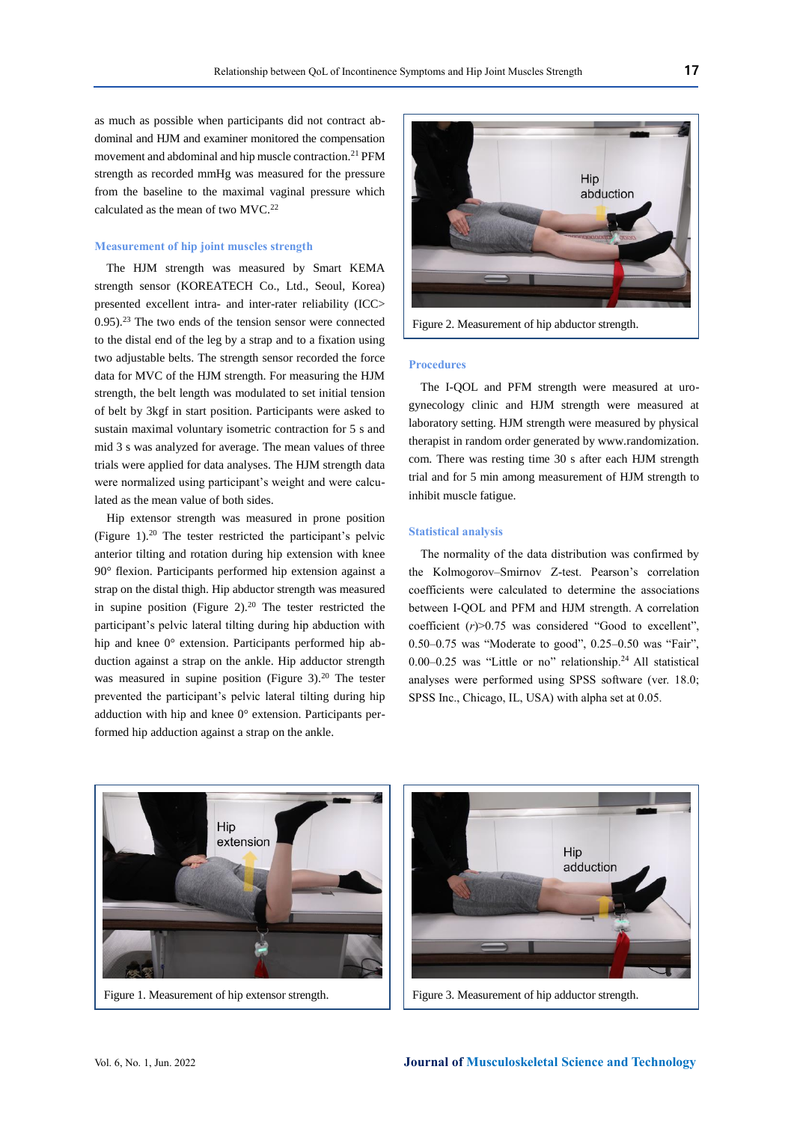as much as possible when participants did not contract abdominal and HJM and examiner monitored the compensation movement and abdominal and hip muscle contraction.<sup>21</sup> PFM strength as recorded mmHg was measured for the pressure from the baseline to the maximal vaginal pressure which calculated as the mean of two MVC.<sup>22</sup>

## **Measurement of hip joint muscles strength**

The HJM strength was measured by Smart KEMA strength sensor (KOREATECH Co., Ltd., Seoul, Korea) presented excellent intra- and inter-rater reliability (ICC> 0.95).<sup>23</sup> The two ends of the tension sensor were connected to the distal end of the leg by a strap and to a fixation using two adjustable belts. The strength sensor recorded the force data for MVC of the HJM strength. For measuring the HJM strength, the belt length was modulated to set initial tension of belt by 3kgf in start position. Participants were asked to sustain maximal voluntary isometric contraction for 5 s and mid 3 s was analyzed for average. The mean values of three trials were applied for data analyses. The HJM strength data were normalized using participant's weight and were calculated as the mean value of both sides.

Hip extensor strength was measured in prone position (Figure 1).<sup>20</sup> The tester restricted the participant's pelvic anterior tilting and rotation during hip extension with knee 90° flexion. Participants performed hip extension against a strap on the distal thigh. Hip abductor strength was measured in supine position (Figure 2).<sup>20</sup> The tester restricted the participant's pelvic lateral tilting during hip abduction with hip and knee 0° extension. Participants performed hip abduction against a strap on the ankle. Hip adductor strength was measured in supine position (Figure 3).<sup>20</sup> The tester prevented the participant's pelvic lateral tilting during hip adduction with hip and knee 0° extension. Participants performed hip adduction against a strap on the ankle.



Figure 2. Measurement of hip abductor strength.

# **Procedures**

The I-QOL and PFM strength were measured at urogynecology clinic and HJM strength were measured at laboratory setting. HJM strength were measured by physical therapist in random order generated by www.randomization. com. There was resting time 30 s after each HJM strength trial and for 5 min among measurement of HJM strength to inhibit muscle fatigue.

## **Statistical analysis**

The normality of the data distribution was confirmed by the Kolmogorov–Smirnov Z-test. Pearson's correlation coefficients were calculated to determine the associations between I-QOL and PFM and HJM strength. A correlation coefficient (*r*)>0.75 was considered "Good to excellent", 0.50–0.75 was "Moderate to good", 0.25–0.50 was "Fair", 0.00–0.25 was "Little or no" relationship.<sup>24</sup> All statistical analyses were performed using SPSS software (ver. 18.0; SPSS Inc., Chicago, IL, USA) with alpha set at 0.05.



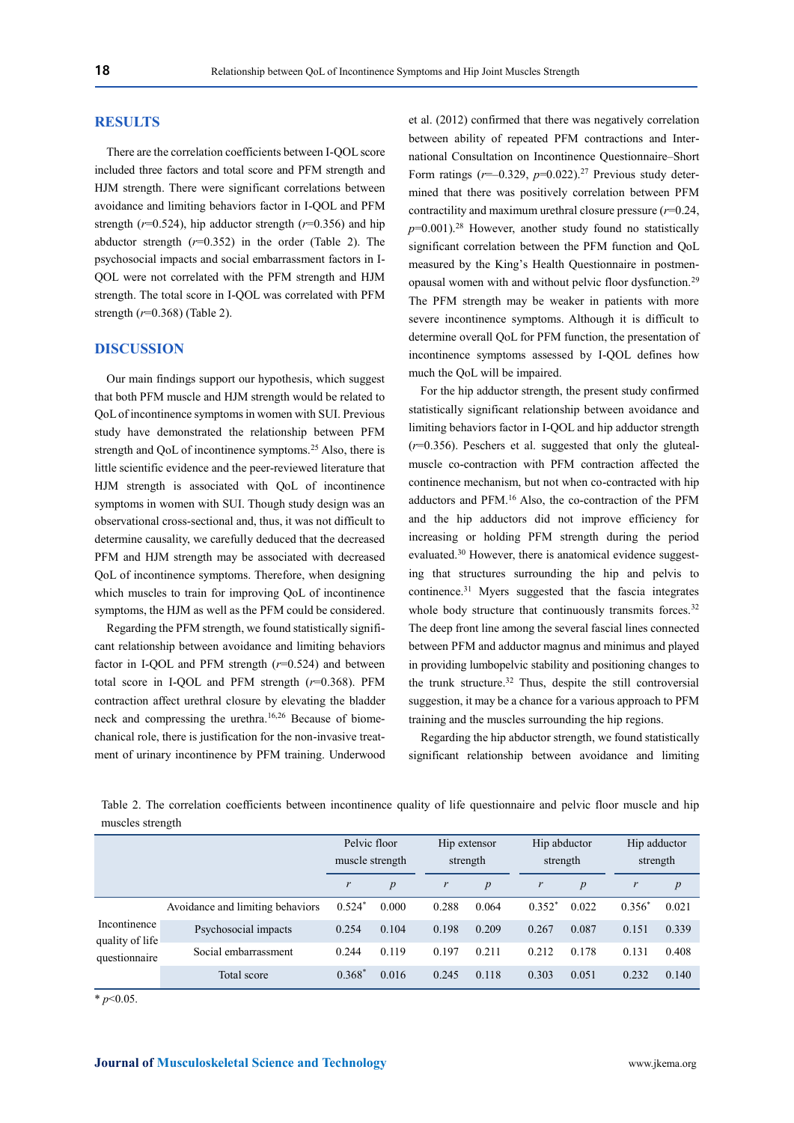## **RESULTS**

There are the correlation coefficients between I-QOL score included three factors and total score and PFM strength and HJM strength. There were significant correlations between avoidance and limiting behaviors factor in I-QOL and PFM strength ( $r=0.524$ ), hip adductor strength ( $r=0.356$ ) and hip abductor strength (*r*=0.352) in the order (Table 2). The psychosocial impacts and social embarrassment factors in I-QOL were not correlated with the PFM strength and HJM strength. The total score in I-QOL was correlated with PFM strength (*r*=0.368) (Table 2).

## **DISCUSSION**

Our main findings support our hypothesis, which suggest that both PFM muscle and HJM strength would be related to QoLof incontinence symptoms in women with SUI. Previous study have demonstrated the relationship between PFM strength and OoL of incontinence symptoms.<sup>25</sup> Also, there is little scientific evidence and the peer-reviewed literature that HJM strength is associated with QoL of incontinence symptoms in women with SUI. Though study design was an observational cross-sectional and, thus, it was not difficult to determine causality, we carefully deduced that the decreased PFM and HJM strength may be associated with decreased QoL of incontinence symptoms. Therefore, when designing which muscles to train for improving QoL of incontinence symptoms, the HJM as well as the PFM could be considered.

Regarding the PFM strength, we found statistically significant relationship between avoidance and limiting behaviors factor in I-QOL and PFM strength (*r*=0.524) and between total score in I-QOL and PFM strength (*r*=0.368). PFM contraction affect urethral closure by elevating the bladder neck and compressing the urethra.16,26 Because of biomechanical role, there is justification for the non-invasive treatment of urinary incontinence by PFM training. Underwood et al. (2012) confirmed that there was negatively correlation between ability of repeated PFM contractions and International Consultation on Incontinence Questionnaire–Short Form ratings  $(r=0.329, p=0.022).$ <sup>27</sup> Previous study determined that there was positively correlation between PFM contractility and maximum urethral closure pressure (*r*=0.24,  $p=0.001$ <sup>28</sup> However, another study found no statistically significant correlation between the PFM function and QoL measured by the King's Health Questionnaire in postmenopausal women with and without pelvic floor dysfunction.<sup>29</sup> The PFM strength may be weaker in patients with more severe incontinence symptoms. Although it is difficult to determine overall QoL for PFM function, the presentation of incontinence symptoms assessed by I-QOL defines how much the QoL will be impaired.

For the hip adductor strength, the present study confirmed statistically significant relationship between avoidance and limiting behaviors factor in I-QOL and hip adductor strength (*r*=0.356). Peschers et al. suggested that only the glutealmuscle co-contraction with PFM contraction affected the continence mechanism, but not when co-contracted with hip adductors and PFM.<sup>16</sup> Also, the co-contraction of the PFM and the hip adductors did not improve efficiency for increasing or holding PFM strength during the period evaluated.<sup>30</sup> However, there is anatomical evidence suggesting that structures surrounding the hip and pelvis to continence.<sup>31</sup> Myers suggested that the fascia integrates whole body structure that continuously transmits forces.<sup>32</sup> The deep front line among the several fascial lines connected between PFM and adductor magnus and minimus and played in providing lumbopelvic stability and positioning changes to the trunk structure.<sup>32</sup> Thus, despite the still controversial suggestion, it may be a chance for a various approach to PFM training and the muscles surrounding the hip regions.

Regarding the hip abductor strength, we found statistically significant relationship between avoidance and limiting

Table 2. The correlation coefficients between incontinence quality of life questionnaire and pelvic floor muscle and hip muscles strength

|                                                  |                                  | Pelvic floor<br>muscle strength |                  | Hip extensor<br>strength |                  | Hip abductor<br>strength |                  | Hip adductor<br>strength |                  |
|--------------------------------------------------|----------------------------------|---------------------------------|------------------|--------------------------|------------------|--------------------------|------------------|--------------------------|------------------|
|                                                  |                                  | r                               | $\boldsymbol{p}$ | $\boldsymbol{r}$         | $\boldsymbol{p}$ | r                        | $\boldsymbol{p}$ | r                        | $\boldsymbol{p}$ |
| Incontinence<br>quality of life<br>questionnaire | Avoidance and limiting behaviors | $0.524*$                        | 0.000            | 0.288                    | 0.064            | $0.352^*$                | 0.022            | $0.356*$                 | 0.021            |
|                                                  | Psychosocial impacts             | 0.254                           | 0.104            | 0.198                    | 0.209            | 0.267                    | 0.087            | 0.151                    | 0.339            |
|                                                  | Social embarrassment             | 0.244                           | 0.119            | 0.197                    | 0.211            | 0.212                    | 0.178            | 0.131                    | 0.408            |
|                                                  | Total score                      | $0.368*$                        | 0.016            | 0.245                    | 0.118            | 0.303                    | 0.051            | 0.232                    | 0.140            |

 $*$  *p*<0.05.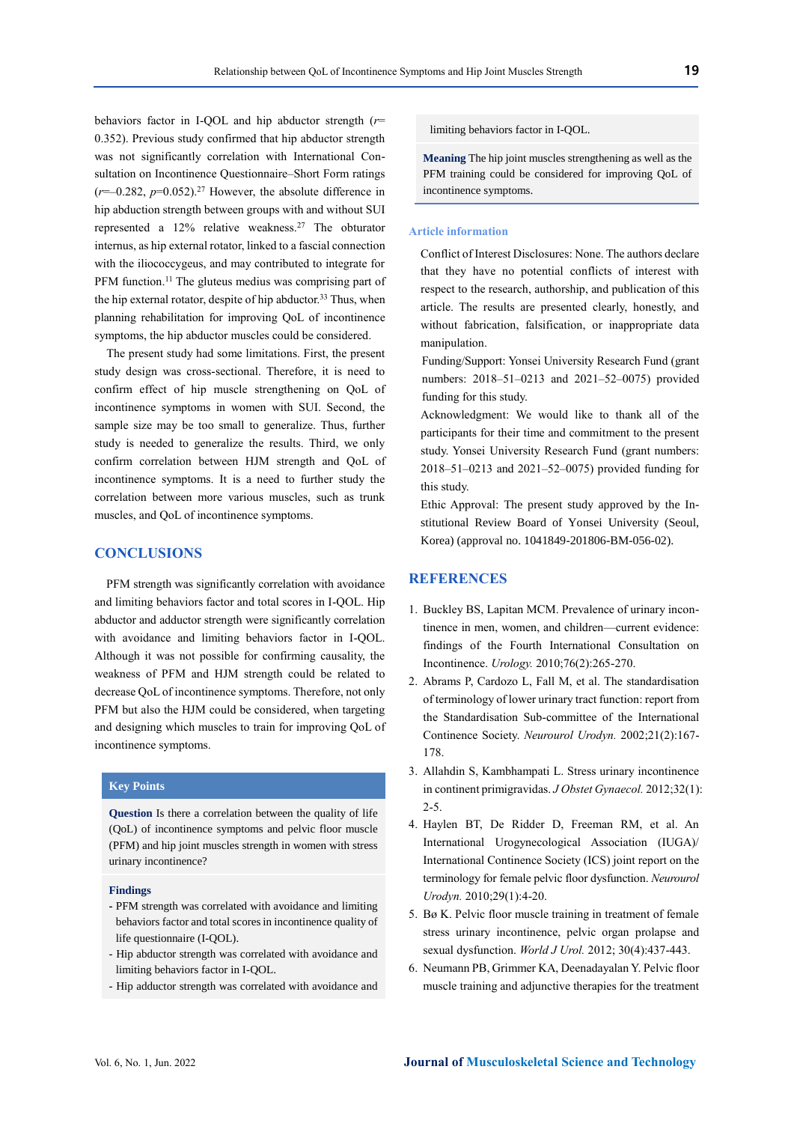behaviors factor in I-QOL and hip abductor strength (*r*= 0.352). Previous study confirmed that hip abductor strength was not significantly correlation with International Consultation on Incontinence Questionnaire–Short Form ratings  $(r=-0.282, p=0.052).$ <sup>27</sup> However, the absolute difference in hip abduction strength between groups with and without SUI represented a 12% relative weakness.<sup>27</sup> The obturator internus, as hip external rotator, linked to a fascial connection with the iliococcygeus, and may contributed to integrate for PFM function.<sup>11</sup> The gluteus medius was comprising part of the hip external rotator, despite of hip abductor.<sup>33</sup> Thus, when planning rehabilitation for improving QoL of incontinence symptoms, the hip abductor muscles could be considered.

The present study had some limitations. First, the present study design was cross-sectional. Therefore, it is need to confirm effect of hip muscle strengthening on QoL of incontinence symptoms in women with SUI. Second, the sample size may be too small to generalize. Thus, further study is needed to generalize the results. Third, we only confirm correlation between HJM strength and QoL of incontinence symptoms. It is a need to further study the correlation between more various muscles, such as trunk muscles, and QoL of incontinence symptoms.

## **CONCLUSIONS**

PFM strength was significantly correlation with avoidance and limiting behaviors factor and total scores in I-QOL. Hip abductor and adductor strength were significantly correlation with avoidance and limiting behaviors factor in I-QOL. Although it was not possible for confirming causality, the weakness of PFM and HJM strength could be related to decrease QoL of incontinence symptoms. Therefore, not only PFM but also the HJM could be considered, when targeting and designing which muscles to train for improving QoL of incontinence symptoms.

# **Key Points**

**Question** Is there a correlation between the quality of life (QoL) of incontinence symptoms and pelvic floor muscle (PFM) and hip joint muscles strength in women with stress urinary incontinence?

#### **Findings**

- **-** PFM strength was correlated with avoidance and limiting behaviors factor and total scores in incontinence quality of life questionnaire (I-QOL).
- Hip abductor strength was correlated with avoidance and limiting behaviors factor in I-QOL.
- Hip adductor strength was correlated with avoidance and

limiting behaviors factor in I-QOL.

**Meaning** The hip joint muscles strengthening as well as the PFM training could be considered for improving QoL of incontinence symptoms.

## **Article information**

Conflict of Interest Disclosures: None. The authors declare that they have no potential conflicts of interest with respect to the research, authorship, and publication of this article. The results are presented clearly, honestly, and without fabrication, falsification, or inappropriate data manipulation.

Funding/Support: Yonsei University Research Fund (grant numbers: 2018–51–0213 and 2021–52–0075) provided funding for this study.

Acknowledgment: We would like to thank all of the participants for their time and commitment to the present study. Yonsei University Research Fund (grant numbers: 2018–51–0213 and 2021–52–0075) provided funding for this study.

Ethic Approval: The present study approved by the Institutional Review Board of Yonsei University (Seoul, Korea) (approval no. 1041849-201806-BM-056-02).

# **REFERENCES**

- 1. Buckley BS, Lapitan MCM. Prevalence of urinary incontinence in men, women, and children—current evidence: findings of the Fourth International Consultation on Incontinence. *Urology.* 2010;76(2):265-270.
- 2. Abrams P, Cardozo L, Fall M, et al. The standardisation of terminology of lower urinary tract function: report from the Standardisation Sub‐committee of the International Continence Society. *Neurourol Urodyn.* 2002;21(2):167- 178.
- 3. Allahdin S, Kambhampati L. Stress urinary incontinence in continent primigravidas. *J Obstet Gynaecol.* 2012;32(1): 2-5.
- 4. Haylen BT, De Ridder D, Freeman RM, et al. An International Urogynecological Association (IUGA)/ International Continence Society (ICS) joint report on the terminology for female pelvic floor dysfunction. *Neurourol Urodyn.* 2010;29(1):4-20.
- 5. Bø K. Pelvic floor muscle training in treatment of female stress urinary incontinence, pelvic organ prolapse and sexual dysfunction. *World J Urol.* 2012; 30(4):437-443.
- 6. Neumann PB, Grimmer KA, Deenadayalan Y. Pelvic floor muscle training and adjunctive therapies for the treatment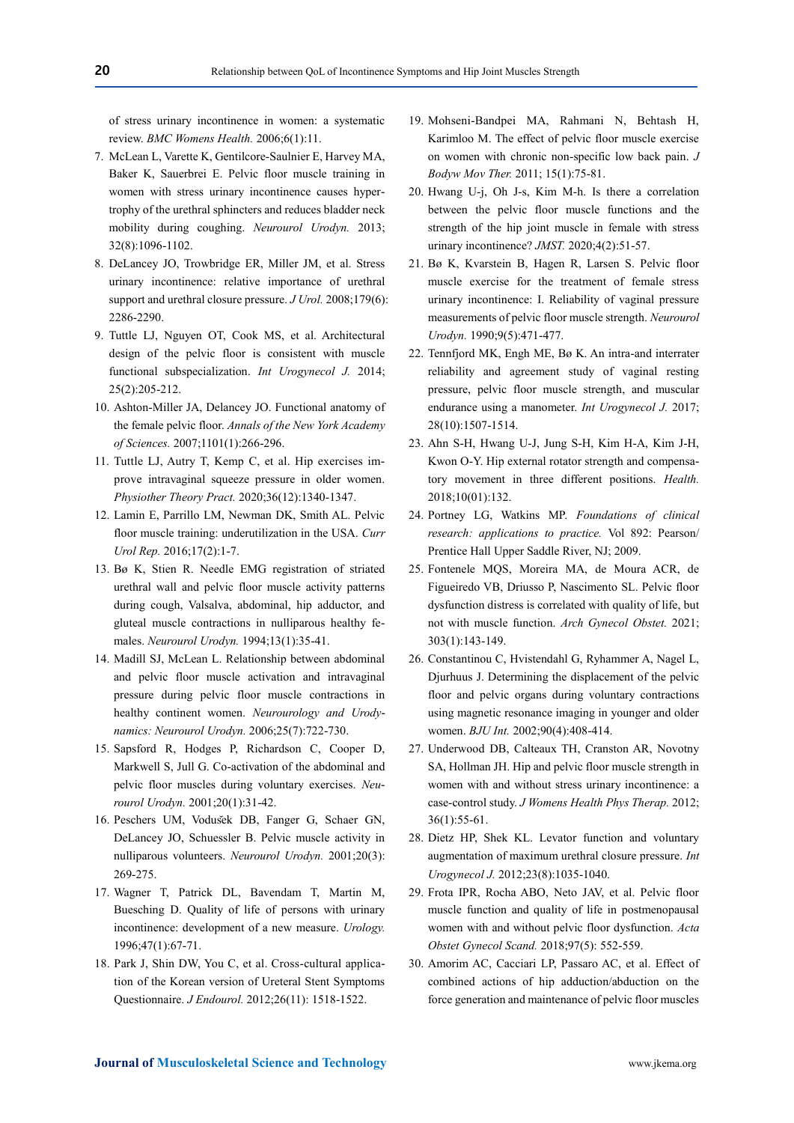of stress urinary incontinence in women: a systematic review. *BMC Womens Health.* 2006;6(1):11.

- 7. McLean L, Varette K, Gentilcore‐Saulnier E, Harvey MA, Baker K, Sauerbrei E. Pelvic floor muscle training in women with stress urinary incontinence causes hypertrophy of the urethral sphincters and reduces bladder neck mobility during coughing. *Neurourol Urodyn.* 2013; 32(8):1096-1102.
- 8. DeLancey JO, Trowbridge ER, Miller JM, et al. Stress urinary incontinence: relative importance of urethral support and urethral closure pressure. *J Urol.* 2008;179(6): 2286-2290.
- 9. Tuttle LJ, Nguyen OT, Cook MS, et al. Architectural design of the pelvic floor is consistent with muscle functional subspecialization. *Int Urogynecol J.* 2014; 25(2):205-212.
- 10. Ashton‐Miller JA, Delancey JO. Functional anatomy of the female pelvic floor. *Annals of the New York Academy of Sciences.* 2007;1101(1):266-296.
- 11. Tuttle LJ, Autry T, Kemp C, et al. Hip exercises improve intravaginal squeeze pressure in older women. *Physiother Theory Pract.* 2020;36(12):1340-1347.
- 12. Lamin E, Parrillo LM, Newman DK, Smith AL. Pelvic floor muscle training: underutilization in the USA. *Curr Urol Rep.* 2016;17(2):1-7.
- 13. Bø K, Stien R. Needle EMG registration of striated urethral wall and pelvic floor muscle activity patterns during cough, Valsalva, abdominal, hip adductor, and gluteal muscle contractions in nulliparous healthy females. *Neurourol Urodyn.* 1994;13(1):35-41.
- 14. Madill SJ, McLean L. Relationship between abdominal and pelvic floor muscle activation and intravaginal pressure during pelvic floor muscle contractions in healthy continent women. *Neurourology and Urodynamics: Neurourol Urodyn.* 2006;25(7):722-730.
- 15. Sapsford R, Hodges P, Richardson C, Cooper D, Markwell S, Jull G. Co‐activation of the abdominal and pelvic floor muscles during voluntary exercises. *Neurourol Urodyn.* 2001;20(1):31-42.
- 16. Peschers UM, Vodus̆ek DB, Fanger G, Schaer GN, DeLancey JO, Schuessler B. Pelvic muscle activity in nulliparous volunteers. *Neurourol Urodyn.* 2001;20(3): 269-275.
- 17. Wagner T, Patrick DL, Bavendam T, Martin M, Buesching D. Quality of life of persons with urinary incontinence: development of a new measure. *Urology.*  1996;47(1):67-71.
- 18. Park J, Shin DW, You C, et al. Cross-cultural application of the Korean version of Ureteral Stent Symptoms Questionnaire. *J Endourol.* 2012;26(11): 1518-1522.
- 19. Mohseni-Bandpei MA, Rahmani N, Behtash H, Karimloo M. The effect of pelvic floor muscle exercise on women with chronic non-specific low back pain. *J Bodyw Mov Ther.* 2011; 15(1):75-81.
- 20. Hwang U-j, Oh J-s, Kim M-h. Is there a correlation between the pelvic floor muscle functions and the strength of the hip joint muscle in female with stress urinary incontinence? *JMST.* 2020;4(2):51-57.
- 21. Bø K, Kvarstein B, Hagen R, Larsen S. Pelvic floor muscle exercise for the treatment of female stress urinary incontinence: I. Reliability of vaginal pressure measurements of pelvic floor muscle strength. *Neurourol Urodyn.* 1990;9(5):471-477.
- 22. Tennfjord MK, Engh ME, Bø K. An intra-and interrater reliability and agreement study of vaginal resting pressure, pelvic floor muscle strength, and muscular endurance using a manometer. *Int Urogynecol J.* 2017; 28(10):1507-1514.
- 23. Ahn S-H, Hwang U-J, Jung S-H, Kim H-A, Kim J-H, Kwon O-Y. Hip external rotator strength and compensatory movement in three different positions. *Health.*  2018;10(01):132.
- 24. Portney LG, Watkins MP. *Foundations of clinical research: applications to practice.* Vol 892: Pearson/ Prentice Hall Upper Saddle River, NJ; 2009.
- 25. Fontenele MQS, Moreira MA, de Moura ACR, de Figueiredo VB, Driusso P, Nascimento SL. Pelvic floor dysfunction distress is correlated with quality of life, but not with muscle function. *Arch Gynecol Obstet.* 2021; 303(1):143-149.
- 26. Constantinou C, Hvistendahl G, Ryhammer A, Nagel L, Djurhuus J. Determining the displacement of the pelvic floor and pelvic organs during voluntary contractions using magnetic resonance imaging in younger and older women. *BJU Int.* 2002;90(4):408-414.
- 27. Underwood DB, Calteaux TH, Cranston AR, Novotny SA, Hollman JH. Hip and pelvic floor muscle strength in women with and without stress urinary incontinence: a case-control study. *J Womens Health Phys Therap.* 2012; 36(1):55-61.
- 28. Dietz HP, Shek KL. Levator function and voluntary augmentation of maximum urethral closure pressure. *Int Urogynecol J.* 2012;23(8):1035-1040.
- 29. Frota IPR, Rocha ABO, Neto JAV, et al. Pelvic floor muscle function and quality of life in postmenopausal women with and without pelvic floor dysfunction. *Acta Obstet Gynecol Scand.* 2018;97(5): 552-559.
- 30. Amorim AC, Cacciari LP, Passaro AC, et al. Effect of combined actions of hip adduction/abduction on the force generation and maintenance of pelvic floor muscles